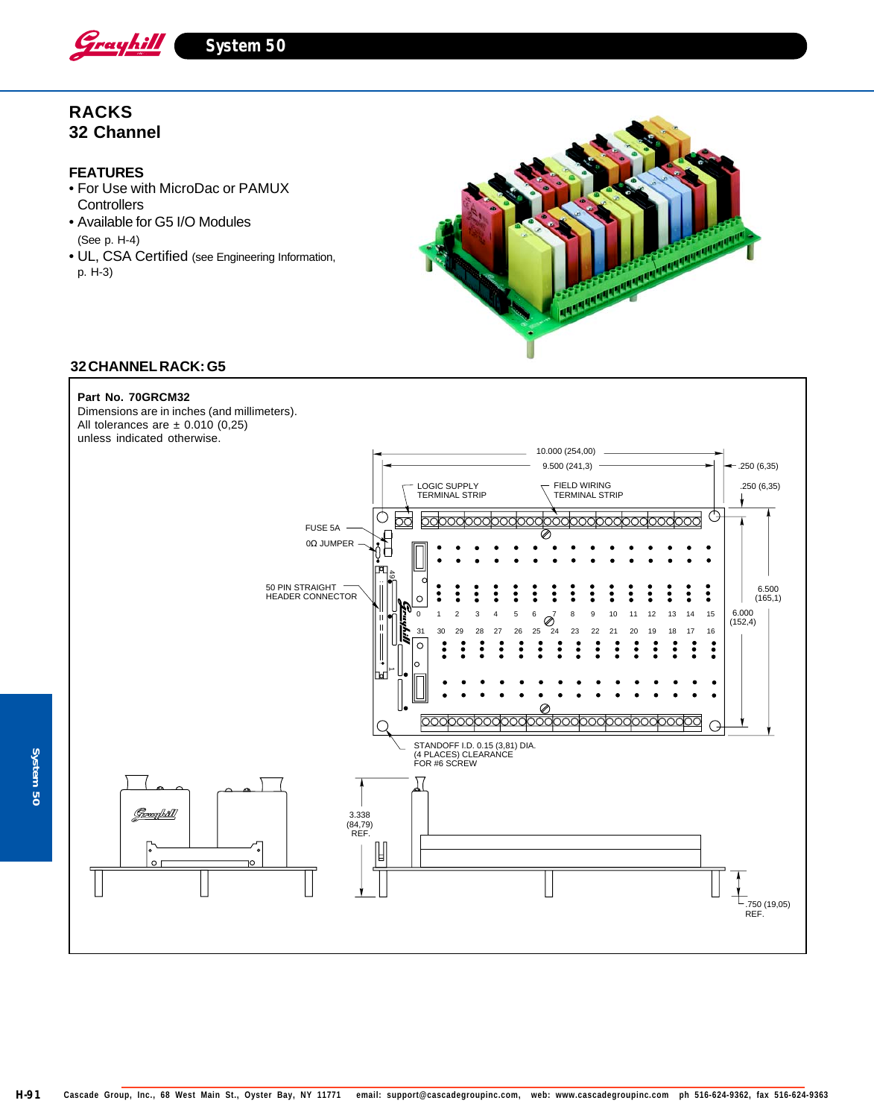

**System 50**

# **RACKS 32 Channel**

## **FEATURES**

- For Use with MicroDac or PAMUX **Controllers**
- Available for G5 I/O Modules (See p. H-4)
- UL, CSA Certified (see Engineering Information, p. H-3)



## **32 CHANNEL RACK: G5**

### **Part No. 70GRCM32**

Dimensions are in inches (and millimeters). All tolerances are  $\pm$  0.010 (0,25)



System 50 **System 50**